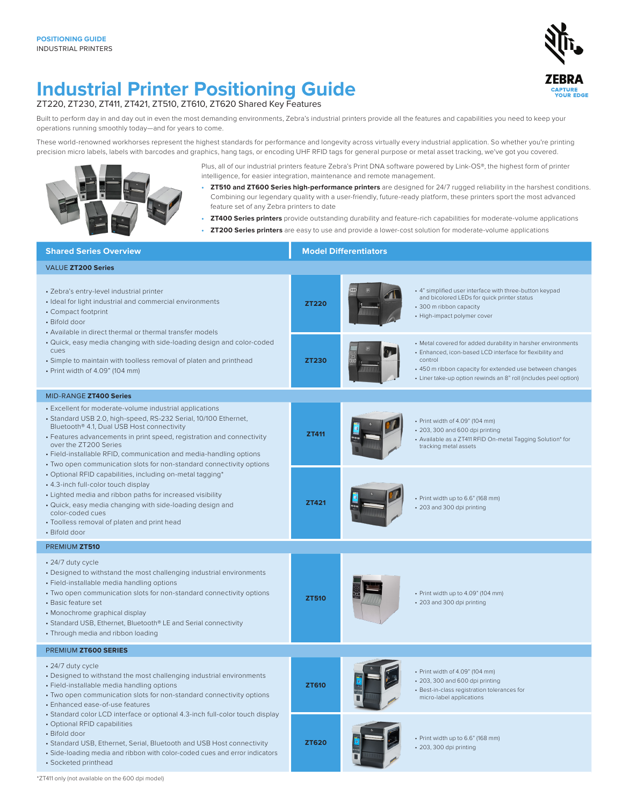

## **Industrial Printer Positioning Guide**

ZT220, ZT230, ZT411, ZT421, ZT510, ZT610, ZT620 Shared Key Features

Built to perform day in and day out in even the most demanding environments, Zebra's industrial printers provide all the features and capabilities you need to keep your operations running smoothly today—and for years to come.

These world-renowned workhorses represent the highest standards for performance and longevity across virtually every industrial application. So whether you're printing precision micro labels, labels with barcodes and graphics, hang tags, or encoding UHF RFID tags for general purpose or metal asset tracking, we've got you covered.



Plus, all of our industrial printers feature Zebra's Print DNA software powered by Link-OS®, the highest form of printer intelligence, for easier integration, maintenance and remote management.

- **• ZT510 and ZT600 Series high-performance printers** are designed for 24/7 rugged reliability in the harshest conditions. Combining our legendary quality with a user-friendly, future-ready platform, these printers sport the most advanced feature set of any Zebra printers to date
- **• ZT400 Series printers** provide outstanding durability and feature-rich capabilities for moderate-volume applications
- **• ZT200 Series printers** are easy to use and provide a lower-cost solution for moderate-volume applications

| <b>Shared Series Overview</b>                                                                                                                                                                                                                                                                                                                                                                                                        |              | <b>Model Differentiators</b> |                                                                                                                                                                                                                                                                     |  |  |  |  |  |  |  |
|--------------------------------------------------------------------------------------------------------------------------------------------------------------------------------------------------------------------------------------------------------------------------------------------------------------------------------------------------------------------------------------------------------------------------------------|--------------|------------------------------|---------------------------------------------------------------------------------------------------------------------------------------------------------------------------------------------------------------------------------------------------------------------|--|--|--|--|--|--|--|
| VALUE ZT200 Series                                                                                                                                                                                                                                                                                                                                                                                                                   |              |                              |                                                                                                                                                                                                                                                                     |  |  |  |  |  |  |  |
| · Zebra's entry-level industrial printer<br>· Ideal for light industrial and commercial environments<br>• Compact footprint<br>• Bifold door<br>• Available in direct thermal or thermal transfer models                                                                                                                                                                                                                             | <b>ZT220</b> |                              | + 4" simplified user interface with three-button keypad<br>and bicolored LEDs for quick printer status<br>• 300 m ribbon capacity<br>• High-impact polymer cover                                                                                                    |  |  |  |  |  |  |  |
| • Quick, easy media changing with side-loading design and color-coded<br>Cues<br>· Simple to maintain with toolless removal of platen and printhead<br>• Print width of 4.09" (104 mm)                                                                                                                                                                                                                                               | <b>ZT230</b> |                              | • Metal covered for added durability in harsher environments<br>· Enhanced, icon-based LCD interface for flexibility and<br>control<br>• 450 m ribbon capacity for extended use between changes<br>• Liner take-up option rewinds an 8" roll (includes peel option) |  |  |  |  |  |  |  |
| MID-RANGE ZT400 Series                                                                                                                                                                                                                                                                                                                                                                                                               |              |                              |                                                                                                                                                                                                                                                                     |  |  |  |  |  |  |  |
| • Excellent for moderate-volume industrial applications<br>· Standard USB 2.0, high-speed, RS-232 Serial, 10/100 Ethernet,<br>Bluetooth <sup>®</sup> 4.1, Dual USB Host connectivity<br>• Features advancements in print speed, registration and connectivity<br>over the ZT200 Series<br>• Field-installable RFID, communication and media-handling options<br>• Two open communication slots for non-standard connectivity options | <b>ZT411</b> |                              | • Print width of 4.09" (104 mm)<br>• 203, 300 and 600 dpi printing<br>• Available as a ZT411 RFID On-metal Tagging Solution* for<br>tracking metal assets                                                                                                           |  |  |  |  |  |  |  |
| • Optional RFID capabilities, including on-metal tagging*<br>• 4.3-inch full-color touch display<br>• Lighted media and ribbon paths for increased visibility<br>· Quick, easy media changing with side-loading design and<br>color-coded cues<br>• Toolless removal of platen and print head<br>• Bifold door                                                                                                                       | ZT421        |                              | • Print width up to 6.6" (168 mm)<br>• 203 and 300 dpi printing                                                                                                                                                                                                     |  |  |  |  |  |  |  |
| PREMIUM ZT510                                                                                                                                                                                                                                                                                                                                                                                                                        |              |                              |                                                                                                                                                                                                                                                                     |  |  |  |  |  |  |  |
| • 24/7 duty cycle<br>• Designed to withstand the most challenging industrial environments<br>· Field-installable media handling options<br>• Two open communication slots for non-standard connectivity options<br>• Basic feature set<br>• Monochrome graphical display<br>• Standard USB, Ethernet, Bluetooth® LE and Serial connectivity<br>• Through media and ribbon loading                                                    | <b>ZT510</b> |                              | • Print width up to 4.09" (104 mm)<br>• 203 and 300 dpi printing                                                                                                                                                                                                    |  |  |  |  |  |  |  |
| PREMIUM ZT600 SERIES                                                                                                                                                                                                                                                                                                                                                                                                                 |              |                              |                                                                                                                                                                                                                                                                     |  |  |  |  |  |  |  |
| • 24/7 duty cycle<br>• Designed to withstand the most challenging industrial environments<br>· Field-installable media handling options<br>• Two open communication slots for non-standard connectivity options<br>• Enhanced ease-of-use features                                                                                                                                                                                   | <b>ZT610</b> |                              | • Print width of 4.09" (104 mm)<br>• 203, 300 and 600 dpi printing<br>· Best-in-class registration tolerances for<br>micro-label applications                                                                                                                       |  |  |  |  |  |  |  |
| • Standard color LCD interface or optional 4.3-inch full-color touch display<br>• Optional RFID capabilities<br>• Bifold door<br>• Standard USB, Ethernet, Serial, Bluetooth and USB Host connectivity<br>· Side-loading media and ribbon with color-coded cues and error indicators<br>• Socketed printhead                                                                                                                         | <b>ZT620</b> |                              | · Print width up to 6.6" (168 mm)<br>· 203, 300 dpi printing                                                                                                                                                                                                        |  |  |  |  |  |  |  |